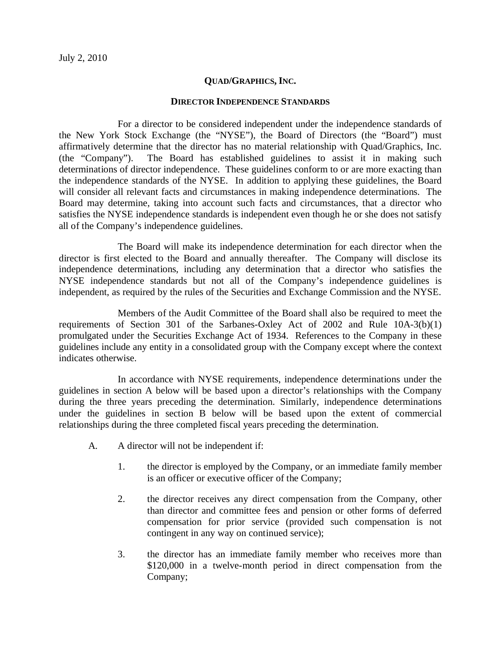## **QUAD/GRAPHICS, INC.**

## **DIRECTOR INDEPENDENCE STANDARDS**

For a director to be considered independent under the independence standards of the New York Stock Exchange (the "NYSE"), the Board of Directors (the "Board") must affirmatively determine that the director has no material relationship with Quad/Graphics, Inc. (the "Company"). The Board has established guidelines to assist it in making such determinations of director independence. These guidelines conform to or are more exacting than the independence standards of the NYSE. In addition to applying these guidelines, the Board will consider all relevant facts and circumstances in making independence determinations. The Board may determine, taking into account such facts and circumstances, that a director who satisfies the NYSE independence standards is independent even though he or she does not satisfy all of the Company's independence guidelines.

The Board will make its independence determination for each director when the director is first elected to the Board and annually thereafter. The Company will disclose its independence determinations, including any determination that a director who satisfies the NYSE independence standards but not all of the Company's independence guidelines is independent, as required by the rules of the Securities and Exchange Commission and the NYSE.

Members of the Audit Committee of the Board shall also be required to meet the requirements of Section 301 of the Sarbanes-Oxley Act of 2002 and Rule 10A-3(b)(1) promulgated under the Securities Exchange Act of 1934. References to the Company in these guidelines include any entity in a consolidated group with the Company except where the context indicates otherwise.

In accordance with NYSE requirements, independence determinations under the guidelines in section A below will be based upon a director's relationships with the Company during the three years preceding the determination. Similarly, independence determinations under the guidelines in section B below will be based upon the extent of commercial relationships during the three completed fiscal years preceding the determination.

- A. A director will not be independent if:
	- 1. the director is employed by the Company, or an immediate family member is an officer or executive officer of the Company;
	- 2. the director receives any direct compensation from the Company, other than director and committee fees and pension or other forms of deferred compensation for prior service (provided such compensation is not contingent in any way on continued service);
	- 3. the director has an immediate family member who receives more than \$120,000 in a twelve-month period in direct compensation from the Company;